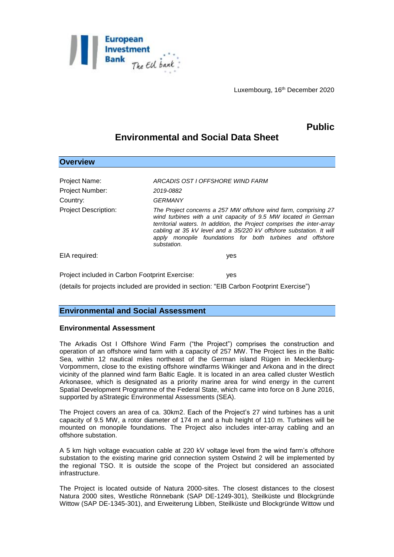

Luxembourg, 16th December 2020

# **Public**

## **Environmental and Social Data Sheet**

| <b>Overview</b>                                     |                                                                                                                                                                                                                                                                                                                                                                |
|-----------------------------------------------------|----------------------------------------------------------------------------------------------------------------------------------------------------------------------------------------------------------------------------------------------------------------------------------------------------------------------------------------------------------------|
| Project Name:<br><b>Project Number:</b><br>Country: | ARCADIS OST I OFFSHORE WIND FARM<br>2019-0882<br>GERMANY                                                                                                                                                                                                                                                                                                       |
| <b>Project Description:</b>                         | The Project concerns a 257 MW offshore wind farm, comprising 27<br>wind turbines with a unit capacity of 9.5 MW located in German<br>territorial waters. In addition, the Project comprises the inter-array<br>cabling at 35 kV level and a 35/220 kV offshore substation. It will<br>apply monopile foundations for both turbines and offshore<br>substation. |
| EIA required:                                       | yes                                                                                                                                                                                                                                                                                                                                                            |
| Project included in Carbon Footprint Exercise:      | yes                                                                                                                                                                                                                                                                                                                                                            |
|                                                     | (details for projects included are provided in section: "EIB Carbon Footprint Exercise")                                                                                                                                                                                                                                                                       |

### **Environmental and Social Assessment**

#### **Environmental Assessment**

The Arkadis Ost I Offshore Wind Farm ("the Project") comprises the construction and operation of an offshore wind farm with a capacity of 257 MW. The Project lies in the Baltic Sea, within 12 nautical miles northeast of the German island Rügen in Mecklenburg-Vorpommern, close to the existing offshore windfarms Wikinger and Arkona and in the direct vicinity of the planned wind farm Baltic Eagle. It is located in an area called cluster Westlich Arkonasee, which is designated as a priority marine area for wind energy in the current Spatial Development Programme of the Federal State, which came into force on 8 June 2016, supported by aStrategic Environmental Assessments (SEA).

The Project covers an area of ca. 30km2. Each of the Project's 27 wind turbines has a unit capacity of 9.5 MW, a rotor diameter of 174 m and a hub height of 110 m. Turbines will be mounted on monopile foundations. The Project also includes inter-array cabling and an offshore substation.

A 5 km high voltage evacuation cable at 220 kV voltage level from the wind farm's offshore substation to the existing marine grid connection system Ostwind 2 will be implemented by the regional TSO. It is outside the scope of the Project but considered an associated infrastructure.

The Project is located outside of Natura 2000-sites. The closest distances to the closest Natura 2000 sites, Westliche Rönnebank (SAP DE-1249-301), Steilküste und Blockgründe Wittow (SAP DE-1345-301), and Erweiterung Libben, Steilküste und Blockgründe Wittow und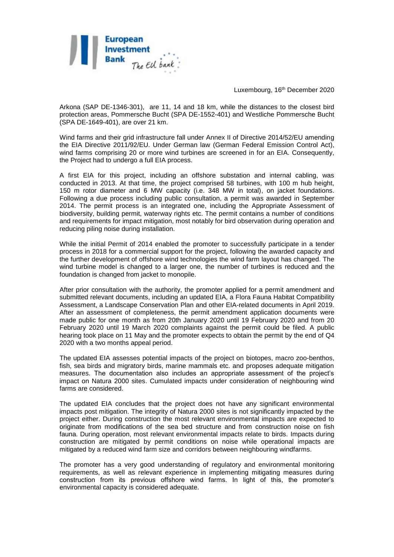

Luxembourg, 16th December 2020

Arkona (SAP DE-1346-301), are 11, 14 and 18 km, while the distances to the closest bird protection areas, Pommersche Bucht (SPA DE-1552-401) and Westliche Pommersche Bucht (SPA DE-1649-401), are over 21 km.

Wind farms and their grid infrastructure fall under Annex II of Directive 2014/52/EU amending the EIA Directive 2011/92/EU. Under German law (German Federal Emission Control Act), wind farms comprising 20 or more wind turbines are screened in for an EIA. Consequently, the Project had to undergo a full EIA process.

A first EIA for this project, including an offshore substation and internal cabling, was conducted in 2013. At that time, the project comprised 58 turbines, with 100 m hub height, 150 m rotor diameter and 6 MW capacity (i.e. 348 MW in total), on jacket foundations. Following a due process including public consultation, a permit was awarded in September 2014. The permit process is an integrated one, including the Appropriate Assessment of biodiversity, building permit, waterway rights etc. The permit contains a number of conditions and requirements for impact mitigation, most notably for bird observation during operation and reducing piling noise during installation.

While the initial Permit of 2014 enabled the promoter to successfully participate in a tender process in 2018 for a commercial support for the project, following the awarded capacity and the further development of offshore wind technologies the wind farm layout has changed. The wind turbine model is changed to a larger one, the number of turbines is reduced and the foundation is changed from jacket to monopile.

After prior consultation with the authority, the promoter applied for a permit amendment and submitted relevant documents, including an updated EIA, a Flora Fauna Habitat Compatibility Assessment, a Landscape Conservation Plan and other EIA-related documents in April 2019. After an assessment of completeness, the permit amendment application documents were made public for one month as from 20th January 2020 until 19 February 2020 and from 20 February 2020 until 19 March 2020 complaints against the permit could be filed. A public hearing took place on 11 May and the promoter expects to obtain the permit by the end of Q4 2020 with a two months appeal period.

The updated EIA assesses potential impacts of the project on biotopes, macro zoo-benthos, fish, sea birds and migratory birds, marine mammals etc. and proposes adequate mitigation measures. The documentation also includes an appropriate assessment of the project's impact on Natura 2000 sites. Cumulated impacts under consideration of neighbouring wind farms are considered.

The updated EIA concludes that the project does not have any significant environmental impacts post mitigation. The integrity of Natura 2000 sites is not significantly impacted by the project either. During construction the most relevant environmental impacts are expected to originate from modifications of the sea bed structure and from construction noise on fish fauna. During operation, most relevant environmental impacts relate to birds. Impacts during construction are mitigated by permit conditions on noise while operational impacts are mitigated by a reduced wind farm size and corridors between neighbouring windfarms.

The promoter has a very good understanding of regulatory and environmental monitoring requirements, as well as relevant experience in implementing mitigating measures during construction from its previous offshore wind farms. In light of this, the promoter's environmental capacity is considered adequate.